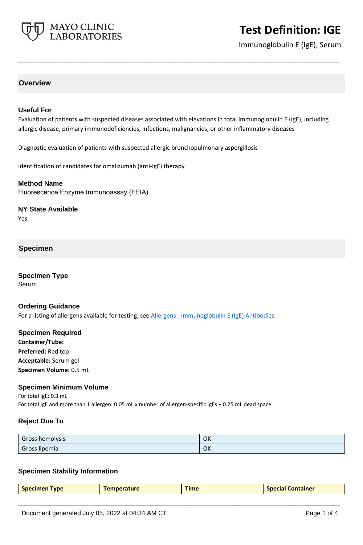

Immunoglobulin E (IgE), Serum

## **Overview**

## **Useful For**

Evaluation of patients with suspected diseases associated with elevations in total immunoglobulin E (IgE), including allergic disease, primary immunodeficiencies, infections, malignancies, or other inflammatory diseases

**\_\_\_\_\_\_\_\_\_\_\_\_\_\_\_\_\_\_\_\_\_\_\_\_\_\_\_\_\_\_\_\_\_\_\_\_\_\_\_\_\_\_\_\_\_\_\_\_\_\_\_**

Diagnostic evaluation of patients with suspected allergic bronchopulmonary aspergillosis

Identification of candidates for omalizumab (anti-IgE) therapy

#### **Method Name**

Fluorescence Enzyme Immunoassay (FEIA)

### **NY State Available**

Yes

## **Specimen**

**Specimen Type** Serum

### **Ordering Guidance**

For a listing of allergens available for testing, see [Allergens - Immunoglobulin E \(IgE\) Antibodies](https://www.mayocliniclabs.com/it-mmfiles/Allergens-IgE_Antibodies.pdf)

## **Specimen Required Container/Tube: Preferred:** Red top **Acceptable:** Serum gel

**Specimen Volume:** 0.5 mL

## **Specimen Minimum Volume**

For total IgE: 0.3 mL For total IgE and more than 1 allergen: 0.05 mL x number of allergen-specific IgEs + 0.25 mL dead space

### **Reject Due To**

| Gross hemolysis | OK |
|-----------------|----|
| Gross lipemia   | OK |

### **Specimen Stability Information**

| Specimen Type | <b>Temperature</b> | <b>Time</b> | <b>Special Container</b> |
|---------------|--------------------|-------------|--------------------------|
|               |                    |             |                          |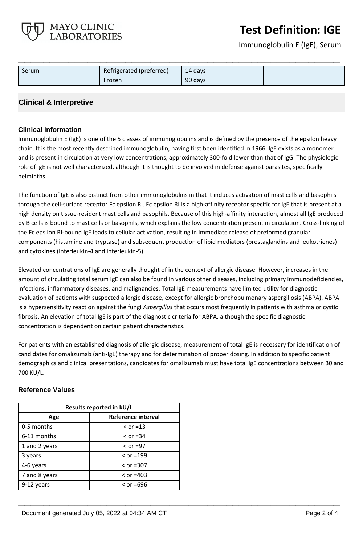Immunoglobulin E (IgE), Serum

| Serum | Refrigerated (preferred) | 14 days |  |
|-------|--------------------------|---------|--|
|       | Frozen                   | 90 days |  |

**\_\_\_\_\_\_\_\_\_\_\_\_\_\_\_\_\_\_\_\_\_\_\_\_\_\_\_\_\_\_\_\_\_\_\_\_\_\_\_\_\_\_\_\_\_\_\_\_\_\_\_**

## **Clinical & Interpretive**

MAYO CLINIC **LABORATORIES** 

## **Clinical Information**

Immunoglobulin E (IgE) is one of the 5 classes of immunoglobulins and is defined by the presence of the epsilon heavy chain. It is the most recently described immunoglobulin, having first been identified in 1966. IgE exists as a monomer and is present in circulation at very low concentrations, approximately 300-fold lower than that of IgG. The physiologic role of IgE is not well characterized, although it is thought to be involved in defense against parasites, specifically helminths.

The function of IgE is also distinct from other immunoglobulins in that it induces activation of mast cells and basophils through the cell-surface receptor Fc epsilon RI. Fc epsilon RI is a high-affinity receptor specific for IgE that is present at a high density on tissue-resident mast cells and basophils. Because of this high-affinity interaction, almost all IgE produced by B cells is bound to mast cells or basophils, which explains the low concentration present in circulation. Cross-linking of the Fc epsilon RI-bound IgE leads to cellular activation, resulting in immediate release of preformed granular components (histamine and tryptase) and subsequent production of lipid mediators (prostaglandins and leukotrienes) and cytokines (interleukin-4 and interleukin-5).

Elevated concentrations of IgE are generally thought of in the context of allergic disease. However, increases in the amount of circulating total serum IgE can also be found in various other diseases, including primary immunodeficiencies, infections, inflammatory diseases, and malignancies. Total IgE measurements have limited utility for diagnostic evaluation of patients with suspected allergic disease, except for allergic bronchopulmonary aspergillosis (ABPA). ABPA is a hypersensitivity reaction against the fungi *Aspergillus* that occurs most frequently in patients with asthma or cystic fibrosis. An elevation of total IgE is part of the diagnostic criteria for ABPA, although the specific diagnostic concentration is dependent on certain patient characteristics.

For patients with an established diagnosis of allergic disease, measurement of total IgE is necessary for identification of candidates for omalizumab (anti-IgE) therapy and for determination of proper dosing. In addition to specific patient demographics and clinical presentations, candidates for omalizumab must have total IgE concentrations between 30 and 700 KU/L.

**\_\_\_\_\_\_\_\_\_\_\_\_\_\_\_\_\_\_\_\_\_\_\_\_\_\_\_\_\_\_\_\_\_\_\_\_\_\_\_\_\_\_\_\_\_\_\_\_\_\_\_**

| Results reported in kU/L |                    |  |
|--------------------------|--------------------|--|
| Age                      | Reference interval |  |
| 0-5 months               | $\le$ or =13       |  |
| 6-11 months              | $\le$ or =34       |  |
| 1 and 2 years            | $\le$ or =97       |  |
| 3 years                  | $\le$ or =199      |  |
| 4-6 years                | $\le$ or =307      |  |
| 7 and 8 years            | $\le$ or =403      |  |
| 9-12 years               | $\le$ or =696      |  |

## **Reference Values**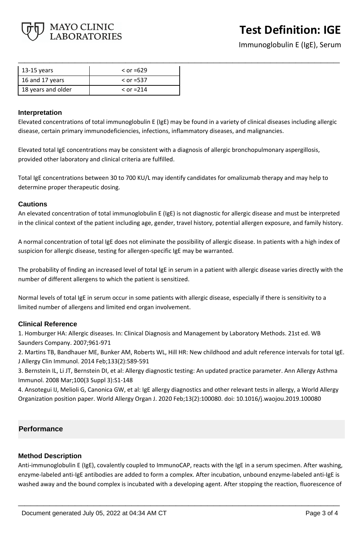

Immunoglobulin E (IgE), Serum

| 13-15 years        | $\le$ or =629 |
|--------------------|---------------|
| 16 and 17 years    | $\le$ or =537 |
| 18 years and older | $\le$ or =214 |

### **Interpretation**

Elevated concentrations of total immunoglobulin E (IgE) may be found in a variety of clinical diseases including allergic disease, certain primary immunodeficiencies, infections, inflammatory diseases, and malignancies.

**\_\_\_\_\_\_\_\_\_\_\_\_\_\_\_\_\_\_\_\_\_\_\_\_\_\_\_\_\_\_\_\_\_\_\_\_\_\_\_\_\_\_\_\_\_\_\_\_\_\_\_**

Elevated total IgE concentrations may be consistent with a diagnosis of allergic bronchopulmonary aspergillosis, provided other laboratory and clinical criteria are fulfilled.

Total IgE concentrations between 30 to 700 KU/L may identify candidates for omalizumab therapy and may help to determine proper therapeutic dosing.

### **Cautions**

An elevated concentration of total immunoglobulin E (IgE) is not diagnostic for allergic disease and must be interpreted in the clinical context of the patient including age, gender, travel history, potential allergen exposure, and family history.

A normal concentration of total IgE does not eliminate the possibility of allergic disease. In patients with a high index of suspicion for allergic disease, testing for allergen-specific IgE may be warranted.

The probability of finding an increased level of total IgE in serum in a patient with allergic disease varies directly with the number of different allergens to which the patient is sensitized.

Normal levels of total IgE in serum occur in some patients with allergic disease, especially if there is sensitivity to a limited number of allergens and limited end organ involvement.

## **Clinical Reference**

1. Homburger HA: Allergic diseases. In: Clinical Diagnosis and Management by Laboratory Methods. 21st ed. WB Saunders Company. 2007;961-971

2. Martins TB, Bandhauer ME, Bunker AM, Roberts WL, Hill HR: New childhood and adult reference intervals for total IgE. J Allergy Clin Immunol. 2014 Feb;133(2):589-591

3. Bernstein IL, Li JT, Bernstein DI, et al: Allergy diagnostic testing: An updated practice parameter. Ann Allergy Asthma Immunol. 2008 Mar;100(3 Suppl 3):S1-148

4. Ansotegui IJ, Melioli G, Canonica GW, et al: IgE allergy diagnostics and other relevant tests in allergy, a World Allergy Organization position paper. World Allergy Organ J. 2020 Feb;13(2):100080. doi: 10.1016/j.waojou.2019.100080

## **Performance**

## **Method Description**

Anti-immunoglobulin E (IgE), covalently coupled to ImmunoCAP, reacts with the IgE in a serum specimen. After washing, enzyme-labeled anti-IgE antibodies are added to form a complex. After incubation, unbound enzyme-labeled anti-IgE is washed away and the bound complex is incubated with a developing agent. After stopping the reaction, fluorescence of

**\_\_\_\_\_\_\_\_\_\_\_\_\_\_\_\_\_\_\_\_\_\_\_\_\_\_\_\_\_\_\_\_\_\_\_\_\_\_\_\_\_\_\_\_\_\_\_\_\_\_\_**